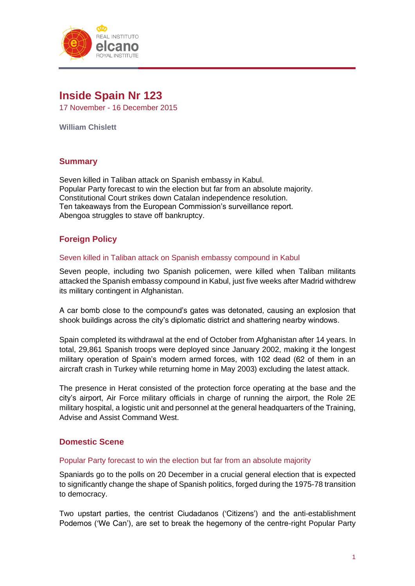

# **Inside Spain Nr 123**

17 November - 16 December 2015

**William Chislett**

# **Summary**

Seven killed in Taliban attack on Spanish embassy in Kabul. Popular Party forecast to win the election but far from an absolute majority. Constitutional Court strikes down Catalan independence resolution. Ten takeaways from the European Commission's surveillance report. Abengoa struggles to stave off bankruptcy.

# **Foreign Policy**

## Seven killed in Taliban attack on Spanish embassy compound in Kabul

Seven people, including two Spanish policemen, were killed when Taliban militants attacked the Spanish embassy compound in Kabul, just five weeks after Madrid withdrew its military contingent in Afghanistan.

A car bomb close to the compound's gates was detonated, causing an explosion that shook buildings across the city's diplomatic district and shattering nearby windows.

Spain completed its withdrawal at the end of October from Afghanistan after 14 years. In total, 29,861 Spanish troops were deployed since January 2002, making it the longest military operation of Spain's modern armed forces, with 102 dead (62 of them in an aircraft crash in Turkey while returning home in May 2003) excluding the latest attack.

The presence in Herat consisted of the protection force operating at the base and the city's airport, Air Force military officials in charge of running the airport, the Role 2E military hospital, a logistic unit and personnel at the general headquarters of the Training, Advise and Assist Command West.

# **Domestic Scene**

### Popular Party forecast to win the election but far from an absolute majority

Spaniards go to the polls on 20 December in a crucial general election that is expected to significantly change the shape of Spanish politics, forged during the 1975-78 transition to democracy.

Two upstart parties, the centrist Ciudadanos ('Citizens') and the anti-establishment Podemos ('We Can'), are set to break the hegemony of the centre-right Popular Party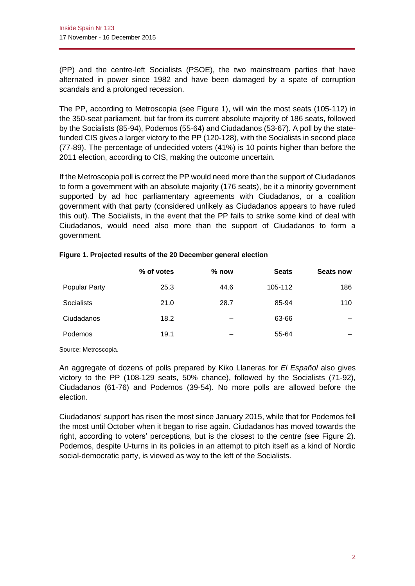(PP) and the centre-left Socialists (PSOE), the two mainstream parties that have alternated in power since 1982 and have been damaged by a spate of corruption scandals and a prolonged recession.

The PP, according to Metroscopia (see Figure 1), will win the most seats (105-112) in the 350-seat parliament, but far from its current absolute majority of 186 seats, followed by the Socialists (85-94), Podemos (55-64) and Ciudadanos (53-67). A poll by the statefunded CIS gives a larger victory to the PP (120-128), with the Socialists in second place (77-89). The percentage of undecided voters (41%) is 10 points higher than before the 2011 election, according to CIS, making the outcome uncertain.

If the Metroscopia poll is correct the PP would need more than the support of Ciudadanos to form a government with an absolute majority (176 seats), be it a minority government supported by ad hoc parliamentary agreements with Ciudadanos, or a coalition government with that party (considered unlikely as Ciudadanos appears to have ruled this out). The Socialists, in the event that the PP fails to strike some kind of deal with Ciudadanos, would need also more than the support of Ciudadanos to form a government.

|                      | % of votes | $%$ now | <b>Seats</b> | Seats now |
|----------------------|------------|---------|--------------|-----------|
| <b>Popular Party</b> | 25.3       | 44.6    | 105-112      | 186       |
| Socialists           | 21.0       | 28.7    | 85-94        | 110       |
| Ciudadanos           | 18.2       |         | 63-66        |           |
| Podemos              | 19.1       | -       | 55-64        |           |
|                      |            |         |              |           |

## **Figure 1. Projected results of the 20 December general election**

Source: Metroscopia.

An aggregate of dozens of polls prepared by Kiko Llaneras for *El Español* also gives victory to the PP (108-129 seats, 50% chance), followed by the Socialists (71-92), Ciudadanos (61-76) and Podemos (39-54). No more polls are allowed before the election.

Ciudadanos' support has risen the most since January 2015, while that for Podemos fell the most until October when it began to rise again. Ciudadanos has moved towards the right, according to voters' perceptions, but is the closest to the centre (see Figure 2). Podemos, despite U-turns in its policies in an attempt to pitch itself as a kind of Nordic social-democratic party, is viewed as way to the left of the Socialists.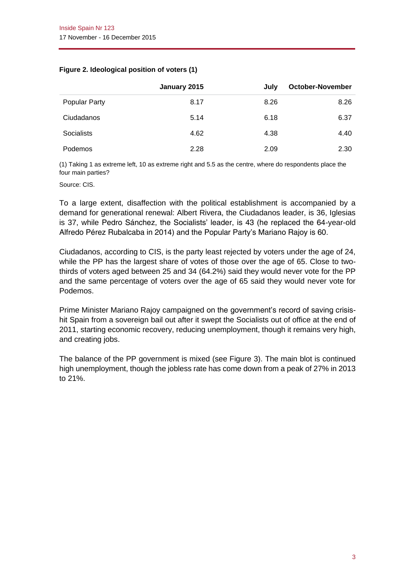### **Figure 2. Ideological position of voters (1)**

|               | January 2015 | July | <b>October-November</b> |
|---------------|--------------|------|-------------------------|
| Popular Party | 8.17         | 8.26 | 8.26                    |
| Ciudadanos    | 5.14         | 6.18 | 6.37                    |
| Socialists    | 4.62         | 4.38 | 4.40                    |
| Podemos       | 2.28         | 2.09 | 2.30                    |

(1) Taking 1 as extreme left, 10 as extreme right and 5.5 as the centre, where do respondents place the four main parties?

Source: CIS.

To a large extent, disaffection with the political establishment is accompanied by a demand for generational renewal: Albert Rivera, the Ciudadanos leader, is 36, Iglesias is 37, while Pedro Sánchez, the Socialists' leader, is 43 (he replaced the 64-year-old Alfredo Pérez Rubalcaba in 2014) and the Popular Party's Mariano Rajoy is 60.

Ciudadanos, according to CIS, is the party least rejected by voters under the age of 24, while the PP has the largest share of votes of those over the age of 65. Close to twothirds of voters aged between 25 and 34 (64.2%) said they would never vote for the PP and the same percentage of voters over the age of 65 said they would never vote for Podemos.

Prime Minister Mariano Rajoy campaigned on the government's record of saving crisishit Spain from a sovereign bail out after it swept the Socialists out of office at the end of 2011, starting economic recovery, reducing unemployment, though it remains very high, and creating jobs.

The balance of the PP government is mixed (see Figure 3). The main blot is continued high unemployment, though the jobless rate has come down from a peak of 27% in 2013 to 21%.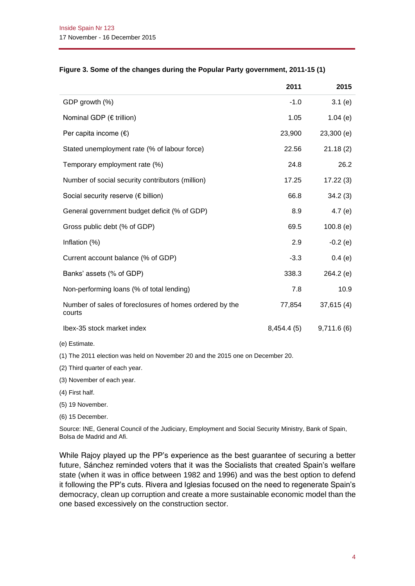|                                                                   | 2011        | 2015       |
|-------------------------------------------------------------------|-------------|------------|
| GDP growth (%)                                                    | $-1.0$      | 3.1(e)     |
| Nominal GDP ( $\epsilon$ trillion)                                | 1.05        | 1.04(e)    |
| Per capita income $(\epsilon)$                                    | 23,900      | 23,300 (e) |
| Stated unemployment rate (% of labour force)                      | 22.56       | 21.18(2)   |
| Temporary employment rate (%)                                     | 24.8        | 26.2       |
| Number of social security contributors (million)                  | 17.25       | 17.22(3)   |
| Social security reserve (€ billion)                               | 66.8        | 34.2(3)    |
| General government budget deficit (% of GDP)                      | 8.9         | 4.7(e)     |
| Gross public debt (% of GDP)                                      | 69.5        | 100.8(e)   |
| Inflation (%)                                                     | 2.9         | $-0.2(e)$  |
| Current account balance (% of GDP)                                | $-3.3$      | 0.4(e)     |
| Banks' assets (% of GDP)                                          | 338.3       | 264.2(e)   |
| Non-performing loans (% of total lending)                         | 7.8         | 10.9       |
| Number of sales of foreclosures of homes ordered by the<br>courts | 77,854      | 37,615(4)  |
| Ibex-35 stock market index                                        | 8,454.4 (5) | 9,711.6(6) |

### **Figure 3. Some of the changes during the Popular Party government, 2011-15 (1)**

(e) Estimate.

(1) The 2011 election was held on November 20 and the 2015 one on December 20.

(2) Third quarter of each year.

(3) November of each year.

(4) First half.

(5) 19 November.

(6) 15 December.

Source: INE, General Council of the Judiciary, Employment and Social Security Ministry, Bank of Spain, Bolsa de Madrid and Afi.

While Rajoy played up the PP's experience as the best guarantee of securing a better future, Sánchez reminded voters that it was the Socialists that created Spain's welfare state (when it was in office between 1982 and 1996) and was the best option to defend it following the PP's cuts. Rivera and Iglesias focused on the need to regenerate Spain's democracy, clean up corruption and create a more sustainable economic model than the one based excessively on the construction sector.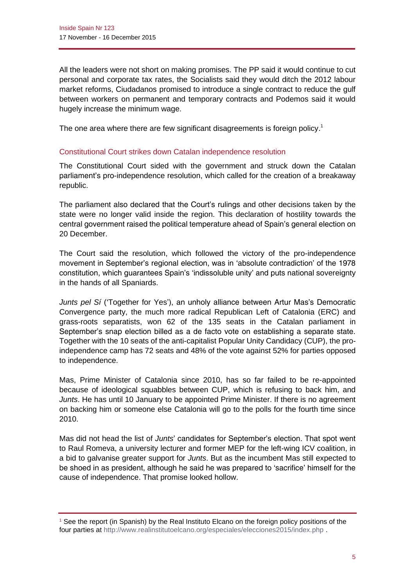All the leaders were not short on making promises. The PP said it would continue to cut personal and corporate tax rates, the Socialists said they would ditch the 2012 labour market reforms, Ciudadanos promised to introduce a single contract to reduce the gulf between workers on permanent and temporary contracts and Podemos said it would hugely increase the minimum wage.

The one area where there are few significant disagreements is foreign policy.<sup>1</sup>

## Constitutional Court strikes down Catalan independence resolution

The Constitutional Court sided with the government and struck down the Catalan parliament's pro-independence resolution, which called for the creation of a breakaway republic.

The parliament also declared that the Court's rulings and other decisions taken by the state were no longer valid inside the region. This declaration of hostility towards the central government raised the political temperature ahead of Spain's general election on 20 December.

The Court said the resolution, which followed the victory of the pro-independence movement in September's regional election, was in 'absolute contradiction' of the 1978 constitution, which guarantees Spain's 'indissoluble unity' and puts national sovereignty in the hands of all Spaniards.

*Junts pel Sí* ('Together for Yes'), an unholy alliance between Artur Mas's Democratic Convergence party, the much more radical Republican Left of Catalonia (ERC) and grass-roots separatists, won 62 of the 135 seats in the Catalan parliament in September's snap election billed as a de facto vote on establishing a separate state. Together with the 10 seats of the anti-capitalist Popular Unity Candidacy (CUP), the proindependence camp has 72 seats and 48% of the vote against 52% for parties opposed to independence.

Mas, Prime Minister of Catalonia since 2010, has so far failed to be re-appointed because of ideological squabbles between CUP, which is refusing to back him, and *Junts*. He has until 10 January to be appointed Prime Minister. If there is no agreement on backing him or someone else Catalonia will go to the polls for the fourth time since 2010.

Mas did not head the list of *Junts*' candidates for September's election. That spot went to Raul Romeva, a university lecturer and former MEP for the left-wing ICV coalition, in a bid to galvanise greater support for *Junts*. But as the incumbent Mas still expected to be shoed in as president, although he said he was prepared to 'sacrifice' himself for the cause of independence. That promise looked hollow.

<sup>1</sup> See the report (in Spanish) by the Real Instituto Elcano on the foreign policy positions of the four parties at<http://www.realinstitutoelcano.org/especiales/elecciones2015/index.php> .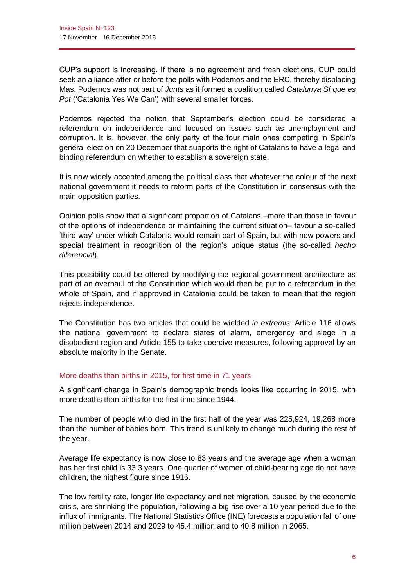CUP's support is increasing. If there is no agreement and fresh elections, CUP could seek an alliance after or before the polls with Podemos and the ERC, thereby displacing Mas. Podemos was not part of *Junts* as it formed a coalition called *Catalunya Sí que es Pot* ('Catalonia Yes We Can') with several smaller forces.

Podemos rejected the notion that September's election could be considered a referendum on independence and focused on issues such as unemployment and corruption. It is, however, the only party of the four main ones competing in Spain's general election on 20 December that supports the right of Catalans to have a legal and binding referendum on whether to establish a sovereign state.

It is now widely accepted among the political class that whatever the colour of the next national government it needs to reform parts of the Constitution in consensus with the main opposition parties.

Opinion polls show that a significant proportion of Catalans –more than those in favour of the options of independence or maintaining the current situation– favour a so-called 'third way' under which Catalonia would remain part of Spain, but with new powers and special treatment in recognition of the region's unique status (the so-called *hecho diferencial*).

This possibility could be offered by modifying the regional government architecture as part of an overhaul of the Constitution which would then be put to a referendum in the whole of Spain, and if approved in Catalonia could be taken to mean that the region rejects independence.

The Constitution has two articles that could be wielded *in extremis*: Article 116 allows the national government to declare states of alarm, emergency and siege in a disobedient region and Article 155 to take coercive measures, following approval by an absolute majority in the Senate.

## More deaths than births in 2015, for first time in 71 years

A significant change in Spain's demographic trends looks like occurring in 2015, with more deaths than births for the first time since 1944.

The number of people who died in the first half of the year was 225,924, 19,268 more than the number of babies born. This trend is unlikely to change much during the rest of the year.

Average life expectancy is now close to 83 years and the average age when a woman has her first child is 33.3 years. One quarter of women of child-bearing age do not have children, the highest figure since 1916.

The low fertility rate, longer life expectancy and net migration, caused by the economic crisis, are shrinking the population, following a big rise over a 10-year period due to the influx of immigrants. The National Statistics Office (INE) forecasts a population fall of one million between 2014 and 2029 to 45.4 million and to 40.8 million in 2065.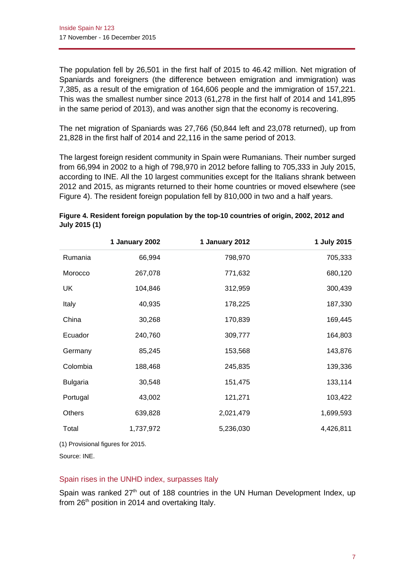The population fell by 26,501 in the first half of 2015 to 46.42 million. Net migration of Spaniards and foreigners (the difference between emigration and immigration) was 7,385, as a result of the emigration of 164,606 people and the immigration of 157,221. This was the smallest number since 2013 (61,278 in the first half of 2014 and 141,895 in the same period of 2013), and was another sign that the economy is recovering.

The net migration of Spaniards was 27,766 (50,844 left and 23,078 returned), up from 21,828 in the first half of 2014 and 22,116 in the same period of 2013.

The largest foreign resident community in Spain were Rumanians. Their number surged from 66,994 in 2002 to a high of 798,970 in 2012 before falling to 705,333 in July 2015, according to INE. All the 10 largest communities except for the Italians shrank between 2012 and 2015, as migrants returned to their home countries or moved elsewhere (see Figure 4). The resident foreign population fell by 810,000 in two and a half years.

|                 | 1 January 2002 | 1 January 2012 | 1 July 2015 |
|-----------------|----------------|----------------|-------------|
| Rumania         | 66,994         | 798,970        | 705,333     |
| Morocco         | 267,078        | 771,632        | 680,120     |
| UK              | 104,846        | 312,959        | 300,439     |
| Italy           | 40,935         | 178,225        | 187,330     |
| China           | 30,268         | 170,839        | 169,445     |
| Ecuador         | 240,760        | 309,777        | 164,803     |
| Germany         | 85,245         | 153,568        | 143,876     |
| Colombia        | 188,468        | 245,835        | 139,336     |
| <b>Bulgaria</b> | 30,548         | 151,475        | 133,114     |
| Portugal        | 43,002         | 121,271        | 103,422     |
| <b>Others</b>   | 639,828        | 2,021,479      | 1,699,593   |
| Total           | 1,737,972      | 5,236,030      | 4,426,811   |
|                 |                |                |             |

| Figure 4. Resident foreign population by the top-10 countries of origin, 2002, 2012 and |  |
|-----------------------------------------------------------------------------------------|--|
| July 2015 (1)                                                                           |  |

(1) Provisional figures for 2015.

Source: INE.

## Spain rises in the UNHD index, surpasses Italy

Spain was ranked  $27<sup>th</sup>$  out of 188 countries in the UN Human Development Index, up from 26<sup>th</sup> position in 2014 and overtaking Italy.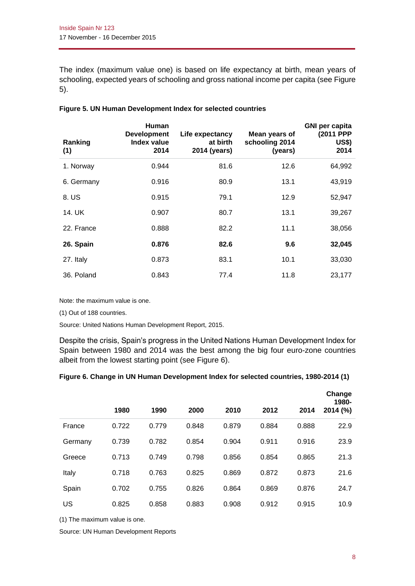The index (maximum value one) is based on life expectancy at birth, mean years of schooling, expected years of schooling and gross national income per capita (see Figure 5).

| Ranking<br>(1) | <b>Human</b><br><b>Development</b><br><b>Index value</b><br>2014 | Life expectancy<br>at birth<br>2014 (years) | Mean years of<br>schooling 2014<br>(years) | <b>GNI per capita</b><br>(2011 PPP<br><b>US\$)</b><br>2014 |
|----------------|------------------------------------------------------------------|---------------------------------------------|--------------------------------------------|------------------------------------------------------------|
| 1. Norway      | 0.944                                                            | 81.6                                        | 12.6                                       | 64,992                                                     |
| 6. Germany     | 0.916                                                            | 80.9                                        | 13.1                                       | 43,919                                                     |
| 8. US          | 0.915                                                            | 79.1                                        | 12.9                                       | 52,947                                                     |
| 14. UK         | 0.907                                                            | 80.7                                        | 13.1                                       | 39,267                                                     |
| 22. France     | 0.888                                                            | 82.2                                        | 11.1                                       | 38,056                                                     |
| 26. Spain      | 0.876                                                            | 82.6                                        | 9.6                                        | 32,045                                                     |
| 27. Italy      | 0.873                                                            | 83.1                                        | 10.1                                       | 33,030                                                     |
| 36. Poland     | 0.843                                                            | 77.4                                        | 11.8                                       | 23,177                                                     |

#### **Figure 5. UN Human Development Index for selected countries**

Note: the maximum value is one.

(1) Out of 188 countries.

Source: United Nations Human Development Report, 2015.

Despite the crisis, Spain's progress in the United Nations Human Development Index for Spain between 1980 and 2014 was the best among the big four euro-zone countries albeit from the lowest starting point (see Figure 6).

### **Figure 6. Change in UN Human Development Index for selected countries, 1980-2014 (1)**

|         |       |       |       |       |       |       | Change<br>1980- |
|---------|-------|-------|-------|-------|-------|-------|-----------------|
|         | 1980  | 1990  | 2000  | 2010  | 2012  | 2014  | 2014 (%)        |
| France  | 0.722 | 0.779 | 0.848 | 0.879 | 0.884 | 0.888 | 22.9            |
| Germany | 0.739 | 0.782 | 0.854 | 0.904 | 0.911 | 0.916 | 23.9            |
| Greece  | 0.713 | 0.749 | 0.798 | 0.856 | 0.854 | 0.865 | 21.3            |
| Italy   | 0.718 | 0.763 | 0.825 | 0.869 | 0.872 | 0.873 | 21.6            |
| Spain   | 0.702 | 0.755 | 0.826 | 0.864 | 0.869 | 0.876 | 24.7            |
| US      | 0.825 | 0.858 | 0.883 | 0.908 | 0.912 | 0.915 | 10.9            |

(1) The maximum value is one.

Source: UN Human Development Reports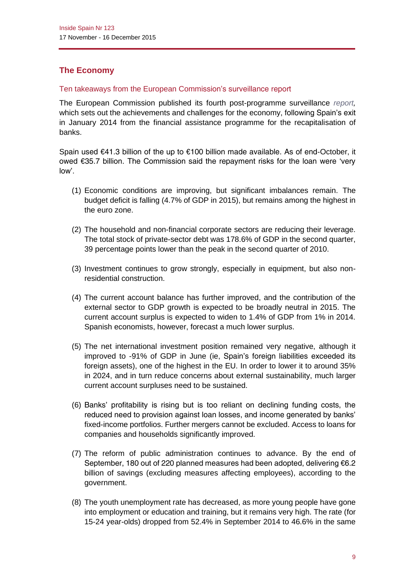# **The Economy**

## Ten takeaways from the European Commission's surveillance report

The European Commission published its fourth post-programme surveillance *[report,](http://ec.europa.eu/economy_finance/publications/eeip/pdf/ip013_en.pdf)* which sets out the achievements and challenges for the economy, following Spain's exit in January 2014 from the financial assistance programme for the recapitalisation of banks.

Spain used €41.3 billion of the up to €100 billion made available. As of end-October, it owed €35.7 billion. The Commission said the repayment risks for the loan were 'very low'.

- (1) Economic conditions are improving, but significant imbalances remain. The budget deficit is falling (4.7% of GDP in 2015), but remains among the highest in the euro zone.
- (2) The household and non-financial corporate sectors are reducing their leverage. The total stock of private-sector debt was 178.6% of GDP in the second quarter, 39 percentage points lower than the peak in the second quarter of 2010.
- (3) Investment continues to grow strongly, especially in equipment, but also nonresidential construction.
- (4) The current account balance has further improved, and the contribution of the external sector to GDP growth is expected to be broadly neutral in 2015. The current account surplus is expected to widen to 1.4% of GDP from 1% in 2014. Spanish economists, however, forecast a much lower surplus.
- (5) The net international investment position remained very negative, although it improved to -91% of GDP in June (ie, Spain's foreign liabilities exceeded its foreign assets), one of the highest in the EU. In order to lower it to around 35% in 2024, and in turn reduce concerns about external sustainability, much larger current account surpluses need to be sustained.
- (6) Banks' profitability is rising but is too reliant on declining funding costs, the reduced need to provision against loan losses, and income generated by banks' fixed-income portfolios. Further mergers cannot be excluded. Access to loans for companies and households significantly improved.
- (7) The reform of public administration continues to advance. By the end of September, 180 out of 220 planned measures had been adopted, delivering €6.2 billion of savings (excluding measures affecting employees), according to the government.
- (8) The youth unemployment rate has decreased, as more young people have gone into employment or education and training, but it remains very high. The rate (for 15-24 year-olds) dropped from 52.4% in September 2014 to 46.6% in the same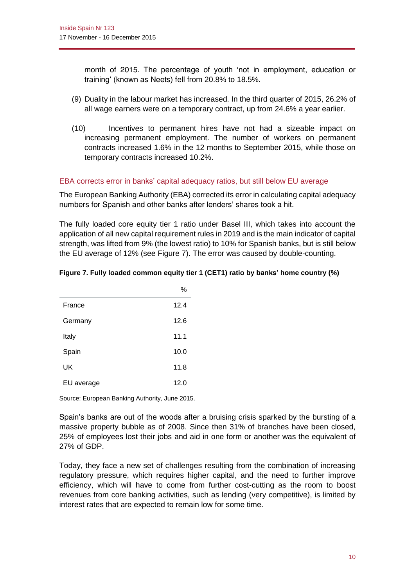month of 2015. The percentage of youth 'not in employment, education or training' (known as Neets) fell from 20.8% to 18.5%.

- (9) Duality in the labour market has increased. In the third quarter of 2015, 26.2% of all wage earners were on a temporary contract, up from 24.6% a year earlier.
- (10) Incentives to permanent hires have not had a sizeable impact on increasing permanent employment. The number of workers on permanent contracts increased 1.6% in the 12 months to September 2015, while those on temporary contracts increased 10.2%.

## EBA corrects error in banks' capital adequacy ratios, but still below EU average

The European Banking Authority (EBA) corrected its error in calculating capital adequacy numbers for Spanish and other banks after lenders' shares took a hit.

The fully loaded core equity tier 1 ratio under Basel III, which takes into account the application of all new capital requirement rules in 2019 and is the main indicator of capital strength, was lifted from 9% (the lowest ratio) to 10% for Spanish banks, but is still below the EU average of 12% (see Figure 7). The error was caused by double-counting.

|            | 7 U  |
|------------|------|
| France     | 12.4 |
| Germany    | 12.6 |
| Italy      | 11.1 |
| Spain      | 10.0 |
| UK         | 11.8 |
| EU average | 12.0 |

### **Figure 7. Fully loaded common equity tier 1 (CET1) ratio by banks' home country (%)**

 $O($ 

Source: European Banking Authority, June 2015.

Spain's banks are out of the woods after a bruising crisis sparked by the bursting of a massive property bubble as of 2008. Since then 31% of branches have been closed, 25% of employees lost their jobs and aid in one form or another was the equivalent of 27% of GDP.

Today, they face a new set of challenges resulting from the combination of increasing regulatory pressure, which requires higher capital, and the need to further improve efficiency, which will have to come from further cost-cutting as the room to boost revenues from core banking activities, such as lending (very competitive), is limited by interest rates that are expected to remain low for some time.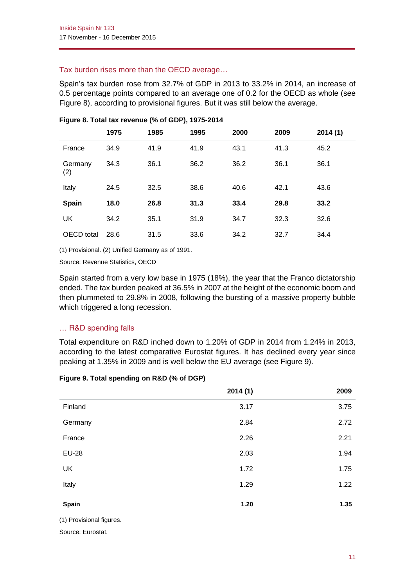# Tax burden rises more than the OECD average…

Spain's tax burden rose from 32.7% of GDP in 2013 to 33.2% in 2014, an increase of 0.5 percentage points compared to an average one of 0.2 for the OECD as whole (see Figure 8), according to provisional figures. But it was still below the average.

|                | 1975 | 1985 | 1995 | 2000 | 2009 | 2014(1) |
|----------------|------|------|------|------|------|---------|
| France         | 34.9 | 41.9 | 41.9 | 43.1 | 41.3 | 45.2    |
| Germany<br>(2) | 34.3 | 36.1 | 36.2 | 36.2 | 36.1 | 36.1    |
| Italy          | 24.5 | 32.5 | 38.6 | 40.6 | 42.1 | 43.6    |
| Spain          | 18.0 | 26.8 | 31.3 | 33.4 | 29.8 | 33.2    |
| UK             | 34.2 | 35.1 | 31.9 | 34.7 | 32.3 | 32.6    |
| OECD total     | 28.6 | 31.5 | 33.6 | 34.2 | 32.7 | 34.4    |

## **Figure 8. Total tax revenue (% of GDP), 1975-2014**

(1) Provisional. (2) Unified Germany as of 1991.

Source: Revenue Statistics, OECD

Spain started from a very low base in 1975 (18%), the year that the Franco dictatorship ended. The tax burden peaked at 36.5% in 2007 at the height of the economic boom and then plummeted to 29.8% in 2008, following the bursting of a massive property bubble which triggered a long recession.

# … R&D spending falls

Total expenditure on R&D inched down to 1.20% of GDP in 2014 from 1.24% in 2013, according to the latest comparative Eurostat figures. It has declined every year since peaking at 1.35% in 2009 and is well below the EU average (see Figure 9).

## **Figure 9. Total spending on R&D (% of DGP)**

|              | 2014(1) | 2009 |
|--------------|---------|------|
| Finland      | 3.17    | 3.75 |
| Germany      | 2.84    | 2.72 |
| France       | 2.26    | 2.21 |
| <b>EU-28</b> | 2.03    | 1.94 |
| UK           | 1.72    | 1.75 |
| Italy        | 1.29    | 1.22 |
| Spain        | 1.20    | 1.35 |

(1) Provisional figures.

Source: Eurostat.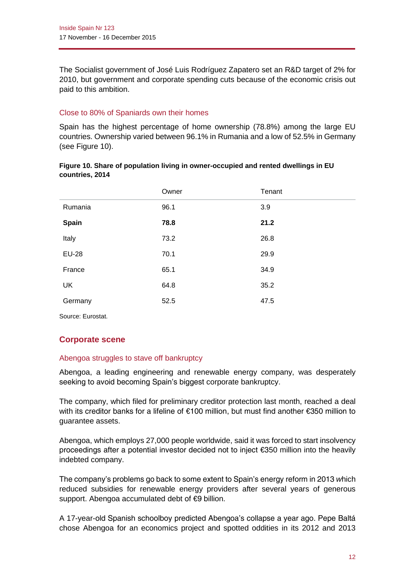The Socialist government of José Luis Rodríguez Zapatero set an R&D target of 2% for 2010, but government and corporate spending cuts because of the economic crisis out paid to this ambition.

## Close to 80% of Spaniards own their homes

Spain has the highest percentage of home ownership (78.8%) among the large EU countries. Ownership varied between 96.1% in Rumania and a low of 52.5% in Germany (see Figure 10).

|              | Owner | Tenant |
|--------------|-------|--------|
| Rumania      | 96.1  | 3.9    |
| <b>Spain</b> | 78.8  | 21.2   |
| Italy        | 73.2  | 26.8   |
| <b>EU-28</b> | 70.1  | 29.9   |
| France       | 65.1  | 34.9   |
| <b>UK</b>    | 64.8  | 35.2   |
| Germany      | 52.5  | 47.5   |
|              |       |        |

| Figure 10. Share of population living in owner-occupied and rented dwellings in EU |  |
|------------------------------------------------------------------------------------|--|
| countries, 2014                                                                    |  |

Source: Eurostat.

# **Corporate scene**

## Abengoa struggles to stave off bankruptcy

Abengoa, a leading engineering and renewable energy company, was desperately seeking to avoid becoming Spain's biggest corporate bankruptcy.

The company, which filed for preliminary creditor protection last month, reached a deal with its creditor banks for a lifeline of €100 million, but must find another €350 million to guarantee assets.

Abengoa, which employs 27,000 people worldwide, said it was forced to start insolvency proceedings after a potential investor decided not to inject €350 million into the heavily indebted company.

The company's problems go back to some extent to Spain's energy reform in 2013 *w*hich reduced subsidies for renewable energy providers after several years of generous support. Abengoa accumulated debt of €9 billion.

A 17-year-old Spanish schoolboy predicted Abengoa's collapse a year ago. Pepe Baltá chose Abengoa for an economics project and spotted oddities in its 2012 and 2013